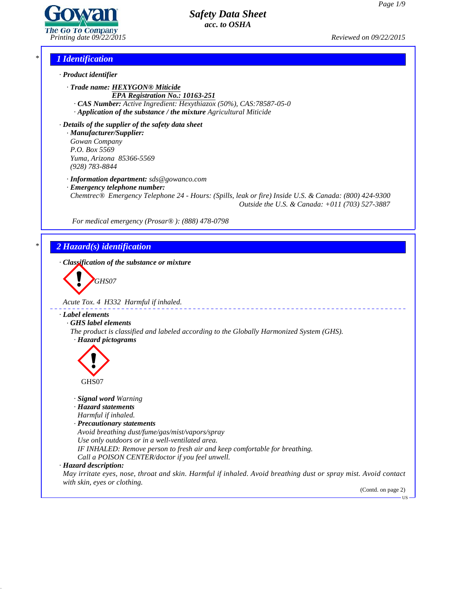

*Printing date 09/22/2015 Reviewed on 09/22/2015*

## *\* 1 Identification*

*· Product identifier*

*· Trade name: HEXYGON® Miticide EPA Registration No.: 10163-251*

*· CAS Number: Active Ingredient: Hexythiazox (50%), CAS:78587-05-0*

*· Application of the substance / the mixture Agricultural Miticide*

*· Details of the supplier of the safety data sheet · Manufacturer/Supplier: Gowan Company P.O. Box 5569 Yuma, Arizona 85366-5569 (928) 783-8844*

*· Information department: sds@gowanco.com*

*· Emergency telephone number:*

*Chemtrec® Emergency Telephone 24 - Hours: (Spills, leak or fire) Inside U.S. & Canada: (800) 424-9300 Outside the U.S. & Canada: +011 (703) 527-3887*

*For medical emergency (Prosar® ): (888) 478-0798*

# *\* 2 Hazard(s) identification*

*· Classification of the substance or mixture*

**GHS07** 

*Acute Tox. 4 H332 Harmful if inhaled.*

#### *· Label elements*

*· GHS label elements*

*The product is classified and labeled according to the Globally Harmonized System (GHS). · Hazard pictograms*



#### *· Signal word Warning*

*· Hazard statements*

- *Harmful if inhaled.*
- *· Precautionary statements*

*Avoid breathing dust/fume/gas/mist/vapors/spray*

*Use only outdoors or in a well-ventilated area.*

- *IF INHALED: Remove person to fresh air and keep comfortable for breathing.*
- *Call a POISON CENTER/doctor ifyou feel unwell.*

## *· Hazard description:*

41.2.6

May irritate eyes, nose, throat and skin. Harmful if inhaled. Avoid breathing dust or spray mist. Avoid contact *with skin, eyes or clothing.*

(Contd. on page 2)US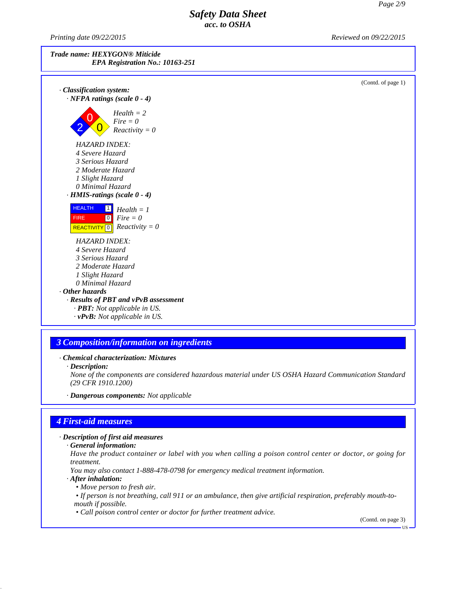*Printing date 09/22/2015 Reviewed on 09/22/2015*



(Contd. of page 1) *· Classification system: · NFPA ratings (scale 0 - 4)*  $2 \times 0$  Reactivity = 0  $P = 2$ <br>*Fire*  $= 0$ *Health = 2 HAZARD INDEX: 4 Severe Hazard 3 Serious Hazard 2 Moderate Hazard 1 Slight Hazard 0 Minimal Hazard · HMIS-ratings (scale 0 - 4)* HEALTH<sub>1</sub> FIRE 0 REACTIVITY<sup>0</sup>  $\frac{1}{1}$  *Health* = 1 0 *Fire = 0*  $\overline{0}$  *Reactivity* = 0 *HAZARD INDEX: 4 Severe Hazard 3 Serious Hazard 2 Moderate Hazard 1 Slight Hazard 0 Minimal Hazard · Other hazards · Results of PBT and vPvB assessment · PBT: Not applicable in US. · vPvB: Not applicable in US.*

## *3 Composition/information on ingredients*

*· Chemical characterization: Mixtures*

*None of the components are considered hazardous material under US OSHA Hazard Communication Standard (29 CFR 1910.1200)*

*· Dangerous components: Not applicable*

## *4 First-aid measures*

*· Description of first aid measures*

Have the product container or label with you when calling a poison control center or doctor, or going for *treatment.*

*You may also contact 1-888-478-0798 for emergency medical treatment information.*

*· After inhalation:*

41.2.6

- *• Move person to fresh air.*
- If person is not breathing, call 911 or an ambulance, then give artificial respiration, preferably mouth-to*mouth if possible.*

*• Call poison control center or doctor for further treatment advice.*

(Contd. on page 3)

*<sup>·</sup> Description:*

*<sup>·</sup> General information:*

US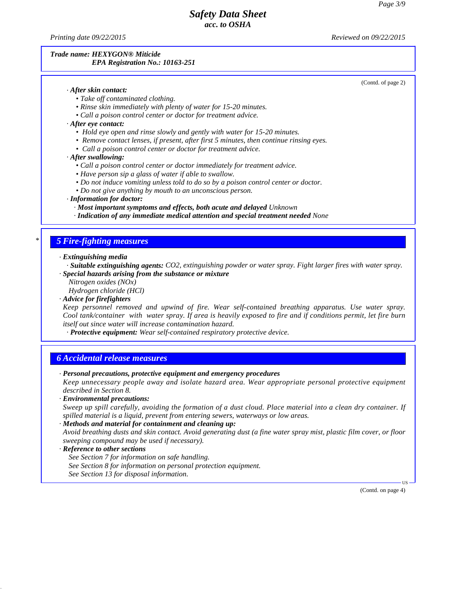*Printing date 09/22/2015 Reviewed on 09/22/2015*

#### *Trade name: HEXYGON® Miticide EPA Registration No.: 10163-251*

(Contd. of page 2)

#### *· After skin contact:*

- *• Take of contaminated clothing.*
- *• Rinse skin immediately with plenty of water for 15-20 minutes.*
- *• Call a poison control center or doctor for treatment advice.*
- *· After eye contact:*
	- *• Hold eye open and rinse slowly and gently with water for 15-20 minutes.*
	- *• Remove contact lenses, if present, after first 5 minutes, then continue rinsing eyes.*
	- *• Call a poison control center or doctor for treatment advice.*
- *· After swallowing:*
	- *• Call a poison control center or doctor immediately for treatment advice.*
	- *• Have person sip a glass of water ifable to swallow.*
	- *• Do not induce vomiting unless told to do so by a poison control center or doctor.*
	- *• Do not give anything by mouth to an unconscious person.*

#### *· Information for doctor:*

- *· Most important symptoms and effects, both acute and delayed Unknown*
- *· Indication of any immediate medical attention and special treatment needed None*

## *\* 5 Fire-fighting measures*

*· Extinguishing media*

*· Suitable extinguishing agents: CO2, extinguishing powder or water spray. Fight larger fires with water spray. · Special hazards arising from the substance or mixture*

*Nitrogen oxides (NOx)*

*Hydrogen chloride (HCl)*

*· Advice for firefighters*

*Keep personnel removed and upwind of fire. Wear self-contained breathing apparatus. Use water spray.* Cool tank/container with water spray. If area is heavily exposed to fire and if conditions permit, let fire burn *itself out since water will increase contamination hazard.*

*· Protective equipment: Wear self-contained respiratory protective device.*

#### *6 Accidental release measures*

*· Personal precautions, protective equipment and emergency procedures*

*Keep unnecessary people away and isolate hazard area. Wear appropriate personal protective equipment described in Section 8.*

*· Environmental precautions:*

Sweep up spill carefully, avoiding the formation of a dust cloud. Place material into a clean dry container. If *spilled material is a liquid, prevent from entering sewers, waterways or low areas.*

*· Methods and material for containment and cleaning up:*

Avoid breathing dusts and skin contact. Avoid generating dust (a fine water spray mist, plastic film cover, or floor *sweeping compound may be used if necessary).*

#### *· Reference to other sections*

*See Section 7 for information on safe handling.*

- *See Section 8 for information on personal protection equipment.*
- *See Section 13 for disposal information.*

(Contd. on page 4)

 $\overline{US}$   $\longrightarrow$ 

41.2.6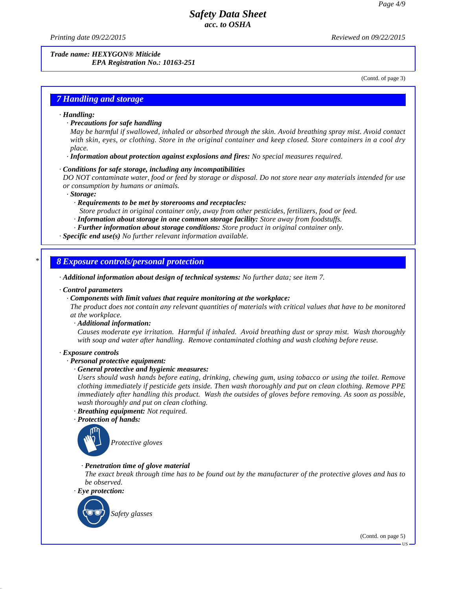*Printing date 09/22/2015 Reviewed on 09/22/2015*

*Trade name: HEXYGON® Miticide EPA Registration No.: 10163-251*

(Contd. of page 3)

## *7 Handling and storage*

#### *· Handling:*

#### *· Precautions for safe handling*

May be harmful if swallowed, inhaled or absorbed through the skin. Avoid breathing spray mist. Avoid contact with skin, eyes, or clothing. Store in the original container and keep closed. Store containers in a cool dry *place.*

*· Information about protection against explosions and fires: No special measures required.*

#### *· Conditions for safe storage, including any incompatibilities*

DO NOT contaminate water, food or feed by storage or disposal. Do not store near any materials intended for use *or consumption by humans or animals.*

#### *· Storage:*

*· Requirements to be met by storerooms and receptacles:*

*Store product in original container only, away from other pesticides, fertilizers, food or feed.*

- *· Information about storage in one common storage facility: Store away from foodstuf s.*
- *· Further information about storage conditions: Store product in original container only.*

*· Specific end use(s) No further relevant information available.*

## *\* 8 Exposure controls/personal protection*

*· Additional information about design of technical systems: No further data; see item 7.*

#### *· Control parameters*

#### *· Components with limit values that require monitoring at the workplace:*

The product does not contain any relevant quantities of materials with critical values that have to be monitored *at the workplace.*

*· Additional information:*

*Causes moderate eye irritation. Harmful if inhaled. Avoid breathing dust or spray mist. Wash thoroughly with soap and water after handling. Remove contaminated clothing and wash clothing before reuse.*

#### *· Exposure controls*

#### *· Personal protective equipment:*

#### *· General protective and hygienic measures:*

*Users should wash hands before eating, drinking, chewing gum, using tobacco or using the toilet. Remove clothing immediately if pesticide gets inside. Then wash thoroughly and puton clean clothing. Remove PPE immediately after handling this product. Wash the outsides of gloves before removing. As soon as possible, wash thoroughly and puton clean clothing.*

- *· Breathing equipment: Not required.*
- *· Protection of hands:*



## *· Penetration time of glove material*

The exact break through time has to be found out by the manufacturer of the protective gloves and has to *be observed.*



41.2.6

(Contd. on page 5)

US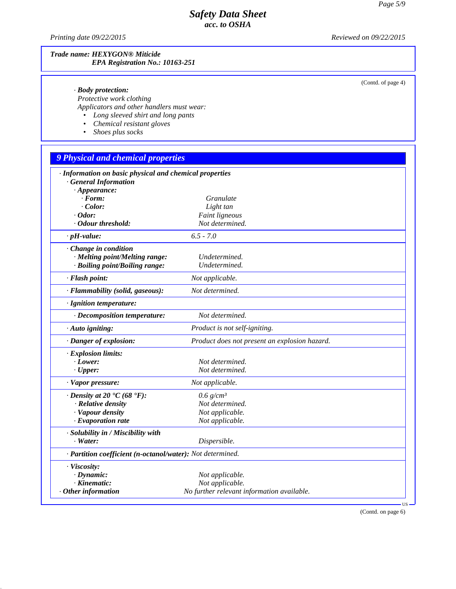*Printing date 09/22/2015 Reviewed on 09/22/2015*

41.2.6

## *Trade name: HEXYGON® Miticide EPA Registration No.: 10163-251*

(Contd. of page 4)

|  |  | · Body protection: |
|--|--|--------------------|
|--|--|--------------------|

*Protective work clothing Applicators and other handlers must wear:*

- *• Long sleeved shirt and long pants*
- *• Chemical resistant gloves*
- *• Shoes plus socks*

# *9 Physical and chemical properties*

| · Information on basic physical and chemical properties    |                                               |           |
|------------------------------------------------------------|-----------------------------------------------|-----------|
| <b>General Information</b><br>$\cdot$ Appearance:          |                                               |           |
| $\cdot$ Form:                                              | Granulate                                     |           |
| $\cdot$ Color:                                             | Light tan                                     |           |
| $\cdot$ Odor:                                              | Faint ligneous                                |           |
| · Odour threshold:                                         | Not determined.                               |           |
| $\cdot$ pH-value:                                          | $6.5 - 7.0$                                   |           |
| Change in condition                                        |                                               |           |
| · Melting point/Melting range:                             | Undetermined.                                 |           |
| · Boiling point/Boiling range:                             | Undetermined.                                 |           |
| · Flash point:                                             | Not applicable.                               |           |
| · Flammability (solid, gaseous):                           | Not determined.                               |           |
| · Ignition temperature:                                    |                                               |           |
| · Decomposition temperature:                               | Not determined.                               |           |
| · Auto igniting:                                           | Product is not self-igniting.                 |           |
| · Danger of explosion:                                     | Product does not present an explosion hazard. |           |
| · Explosion limits:                                        |                                               |           |
| $\cdot$ Lower:                                             | Not determined.                               |           |
| $\cdot$ Upper:                                             | Not determined.                               |           |
| · Vapor pressure:                                          | Not applicable.                               |           |
| $\cdot$ Density at 20 $\cdot$ C (68 $\cdot$ F):            | $0.6$ g/cm <sup>3</sup>                       |           |
| · Relative density                                         | Not determined.                               |           |
| · Vapour density                                           | Not applicable.                               |           |
| $\cdot$ Evaporation rate                                   | Not applicable.                               |           |
| · Solubility in / Miscibility with                         |                                               |           |
| $\cdot$ Water:                                             | Dispersible.                                  |           |
| · Partition coefficient (n-octanol/water): Not determined. |                                               |           |
| · Viscosity:                                               |                                               |           |
| $\cdot$ Dynamic:                                           | Not applicable.                               |           |
| $\cdot$ Kinematic:                                         | Not applicable.                               |           |
| Other information                                          | No further relevant information available.    |           |
|                                                            |                                               | <b>US</b> |
|                                                            |                                               |           |

(Contd. on page 6)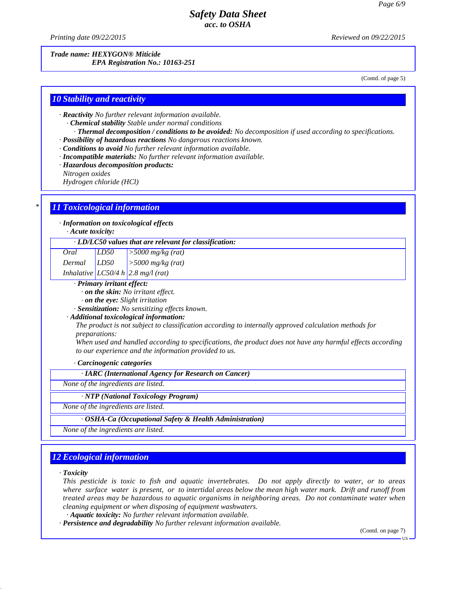*Printing date 09/22/2015 Reviewed on 09/22/2015*

*Trade name: HEXYGON® Miticide EPA Registration No.: 10163-251*

(Contd. of page 5)

## *10 Stability and reactivity*

*· Reactivity No further relevant information available.*

- *· Chemical stability Stable under normal conditions*
- *· Thermal decomposition / conditions to be avoided: No decomposition if used according to specifications. · Possibility of hazardous reactions No dangerous reactions known.*
- *· Conditions to avoid No further relevant information available.*
- *· Incompatible materials: No further relevant information available.*
- *· Hazardous decomposition products:*

*Nitrogen oxides*

*Hydrogen chloride (HCl)*

## *\* 11 Toxicological information*

*· Information on toxicological effects*

*· Acute toxicity:*

| $\cdot$ LD/LC50 values that are relevant for classification: |
|--------------------------------------------------------------|
|--------------------------------------------------------------|

| Oral            | LD50 | $\frac{5000}{m}$ s/kg (rat)                            |
|-----------------|------|--------------------------------------------------------|
| $Dermal$ $LD50$ |      | $\vert$ >5000 mg/kg (rat)                              |
|                 |      | $In$ $In$ $In$ $In$ $In$ $In$ $In$ $In$ $In$ $In$ $In$ |

*Inhalative LC50/4 h 2.8 mg/l (rat)*

- *· Primary irritant effect:*
	- *· on the skin: No irritant ef ect.*

*· on the eye: Slight irritation*

*· Sensitization: No sensitizing ef ects known.*

*· Additional toxicological information:*

*The product is not subject to classification according to internally approved calculation methods for preparations:*

When used and handled according to specifications, the product does not have any harmful effects according *to our experience and the information provided to us.*

*· Carcinogenic categories*

*· IARC (International Agency for Research on Cancer)*

*None of the ingredients are listed.*

*· NTP (National Toxicology Program)*

*None of the ingredients are listed.*

*· OSHA-Ca (Occupational Safety & Health Administration)*

*None of the ingredients are listed.*

## *12 Ecological information*

*· Toxicity*

41.2.6

This pesticide is toxic to fish and aquatic invertebrates. Do not apply directly to water, or to areas where surface water is present, or to intertidal areas below the mean high water mark. Drift and runoff from *treated areas may be hazardous to aquatic organisms in neighboring areas. Do notcontaminate water when cleaning equipment or when disposing of equipment washwaters.*

*· Aquatic toxicity: No further relevant information available.*

*· Persistence and degradability No further relevant information available.*

(Contd. on page 7)

US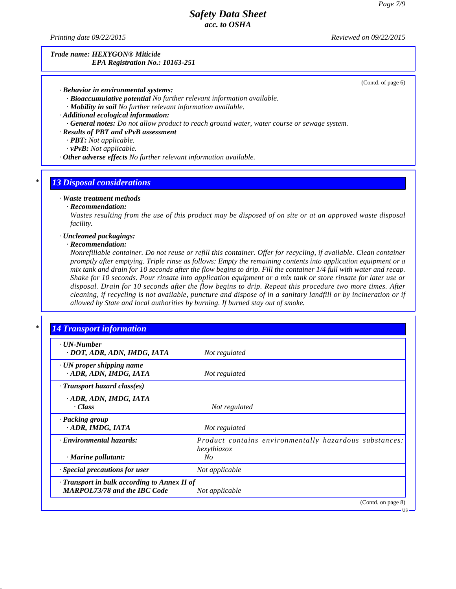*Printing date 09/22/2015 Reviewed on 09/22/2015*

#### *Trade name: HEXYGON® Miticide EPA Registration No.: 10163-251*

(Contd. of page 6)

*· Behavior in environmental systems:*

*· Bioaccumulative potential No further relevant information available.*

*· Mobility in soil No further relevant information available.*

*· Additional ecological information:*

*· General notes: Do notallow product to reach ground water, water course or sewage system.*

*· Results of PBT and vPvB assessment*

*· PBT: Not applicable.*

*· vPvB: Not applicable.*

*· Other adverse effects No further relevant information available.*

#### *\* 13 Disposal considerations*

#### *· Waste treatment methods*

*· Recommendation:*

Wastes resulting from the use of this product may be disposed of on site or at an approved waste disposal *facility.*

#### *· Uncleaned packagings:*

#### *· Recommendation:*

41.2.6

Nonrefillable container. Do not reuse or refill this container. Offer for recycling, if available. Clean container *promptly after emptying. Triple rinse as follows: Empty the remaining contents into application equipment or a* mix tank and drain for 10 seconds after the flow begins to drip. Fill the container 1/4 full with water and recap. Shake for 10 seconds. Pour rinsate into application equipment or a mix tank or store rinsate for later use or disposal. Drain for 10 seconds after the flow begins to drip. Repeat this procedure two more times. After cleaning, if recycling is not available, puncture and dispose of in a sanitary landfill or by incineration or if *allowed by State and local authorities by burning. If burned stay out of smoke.*

| . UN-Number<br>· DOT, ADR, ADN, IMDG, IATA                                        | Not regulated                                                         |
|-----------------------------------------------------------------------------------|-----------------------------------------------------------------------|
| · UN proper shipping name<br>ADR, ADN, IMDG, IATA                                 | Not regulated                                                         |
| · Transport hazard class(es)                                                      |                                                                       |
| · ADR, ADN, IMDG, IATA<br>$\cdot$ Class                                           | Not regulated                                                         |
| · Packing group<br>· ADR, IMDG, IATA                                              | Not regulated                                                         |
| · Environmental hazards:                                                          | Product contains environmentally hazardous substances:<br>hexythiazox |
| · Marine pollutant:                                                               | No                                                                    |
| · Special precautions for user                                                    | Not applicable                                                        |
| Transport in bulk according to Annex II of<br><b>MARPOL73/78 and the IBC Code</b> | Not applicable                                                        |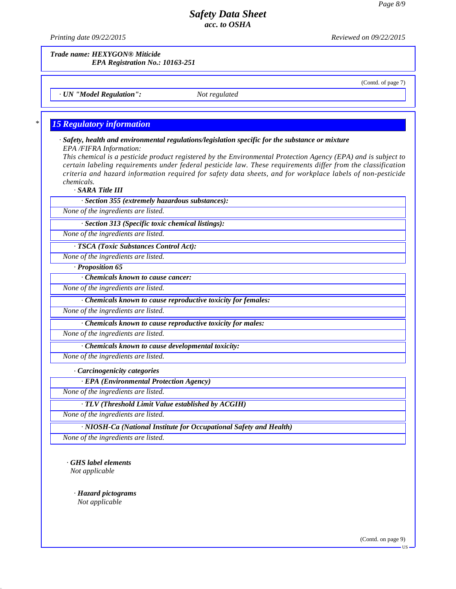*Printing date 09/22/2015 Reviewed on 09/22/2015*

*Trade name: HEXYGON® Miticide*

*EPA Registration No.: 10163-251*

(Contd. of page 7)

*· UN "Model Regulation": Not regulated*

## *\* 15 Regulatory information*

#### *· Safety, health and environmental regulations/legislation specific for the substance or mixture EPA /FIFRA Information:*

This chemical is a pesticide product registered by the Environmental Protection Agency (EPA) and is subject to *certain labeling requirements under federal pesticide law. These requirements differ from the classification criteria and hazard information required for safety data sheets, and for workplace labels of non-pesticide chemicals.*

*· SARA Title III*

*· Section 355 (extremely hazardous substances):*

*None of the ingredients are listed.*

*· Section 313 (Specific toxic chemical listings):*

*None of the ingredients are listed.*

*· TSCA (Toxic Substances Control Act):*

*None of the ingredients are listed.*

*· Proposition 65*

*· Chemicals known to cause cancer:*

*None of the ingredients are listed.*

*· Chemicals known to cause reproductive toxicity for females:*

*None of the ingredients are listed.*

*· Chemicals known to cause reproductive toxicity for males:*

*None of the ingredients are listed.*

*· Chemicals known to cause developmental toxicity:*

*None of the ingredients are listed.*

*· Carcinogenicity categories*

*· EPA (Environmental Protection Agency)*

*None of the ingredients are listed.*

*· TLV (Threshold Limit Value established by ACGIH)*

*None of the ingredients are listed.*

*· NIOSH-Ca (National Institute for Occupational Safety and Health)*

*None of the ingredients are listed.*

*· GHS label elements NIOSH-C*<br> *MOSH-C*<br> *Mone* of the ingree<br> *Not* applicable

41.2.6

*· Hazard pictograms Not applicable*

(Contd. on page 9)

**HS**